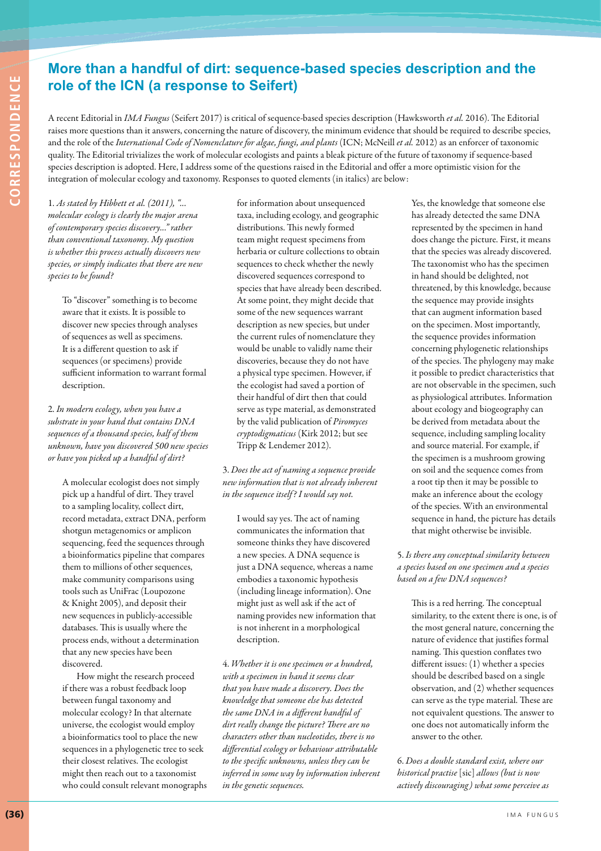## **More than a handful of dirt: sequence-based species description and the role of the ICN (a response to Seifert)**

A recent Editorial in *IMA Fungus* (Seifert 2017) is critical of sequence-based species description (Hawksworth *et al.* 2016). The Editorial raises more questions than it answers, concerning the nature of discovery, the minimum evidence that should be required to describe species, and the role of the *International Code of Nomenclature for algae, fungi, and plants* (ICN; McNeill *et al.* 2012) as an enforcer of taxonomic quality. The Editorial trivializes the work of molecular ecologists and paints a bleak picture of the future of taxonomy if sequence-based species description is adopted. Here, I address some of the questions raised in the Editorial and offer a more optimistic vision for the integration of molecular ecology and taxonomy. Responses to quoted elements (in italics) are below:

1. *As stated by Hibbett et al. (2011), "... molecular ecology is clearly the major arena of contemporary species discovery..." rather than conventional taxonomy. My question is whether this process actually discovers new species, or simply indicates that there are new species to be found?* 

To "discover" something is to become aware that it exists. It is possible to discover new species through analyses of sequences as well as specimens. It is a different question to ask if sequences (or specimens) provide sufficient information to warrant formal description.

2. *In modern ecology, when you have a substrate in your hand that contains DNA sequences of a thousand species, half of them unknown, have you discovered 500 new species or have you picked up a handful of dirt?*

A molecular ecologist does not simply pick up a handful of dirt. They travel to a sampling locality, collect dirt, record metadata, extract DNA, perform shotgun metagenomics or amplicon sequencing, feed the sequences through a bioinformatics pipeline that compares them to millions of other sequences, make community comparisons using tools such as UniFrac (Loupozone & Knight 2005), and deposit their new sequences in publicly-accessible databases. This is usually where the process ends, without a determination that any new species have been discovered.

How might the research proceed if there was a robust feedback loop between fungal taxonomy and molecular ecology? In that alternate universe, the ecologist would employ a bioinformatics tool to place the new sequences in a phylogenetic tree to seek their closest relatives. The ecologist might then reach out to a taxonomist who could consult relevant monographs for information about unsequenced taxa, including ecology, and geographic distributions. This newly formed team might request specimens from herbaria or culture collections to obtain sequences to check whether the newly discovered sequences correspond to species that have already been described. At some point, they might decide that some of the new sequences warrant description as new species, but under the current rules of nomenclature they would be unable to validly name their discoveries, because they do not have a physical type specimen. However, if the ecologist had saved a portion of their handful of dirt then that could serve as type material, as demonstrated by the valid publication of *Piromyces cryptodigmaticus* (Kirk 2012; but see Tripp & Lendemer 2012).

3. *Does the act of naming a sequence provide new information that is not already inherent in the sequence itself ? I would say not.*

I would say yes. The act of naming communicates the information that someone thinks they have discovered a new species. A DNA sequence is just a DNA sequence, whereas a name embodies a taxonomic hypothesis (including lineage information). One might just as well ask if the act of naming provides new information that is not inherent in a morphological description.

4. *Whether it is one specimen or a hundred, with a specimen in hand it seems clear that you have made a discovery. Does the knowledge that someone else has detected the same DNA in a different handful of dirt really change the picture? There are no characters other than nucleotides, there is no differential ecology or behaviour attributable to the specific unknowns, unless they can be inferred in some way by information inherent in the genetic sequences.*

Yes, the knowledge that someone else has already detected the same DNA represented by the specimen in hand does change the picture. First, it means that the species was already discovered. The taxonomist who has the specimen in hand should be delighted, not threatened, by this knowledge, because the sequence may provide insights that can augment information based on the specimen. Most importantly, the sequence provides information concerning phylogenetic relationships of the species. The phylogeny may make it possible to predict characteristics that are not observable in the specimen, such as physiological attributes. Information about ecology and biogeography can be derived from metadata about the sequence, including sampling locality and source material. For example, if the specimen is a mushroom growing on soil and the sequence comes from a root tip then it may be possible to make an inference about the ecology of the species. With an environmental sequence in hand, the picture has details that might otherwise be invisible.

5. *Is there any conceptual similarity between a species based on one specimen and a species based on a few DNA sequences?* 

This is a red herring. The conceptual similarity, to the extent there is one, is of the most general nature, concerning the nature of evidence that justifies formal naming. This question conflates two different issues: (1) whether a species should be described based on a single observation, and (2) whether sequences can serve as the type material. These are not equivalent questions. The answer to one does not automatically inform the answer to the other.

6. *Does a double standard exist, where our historical practise* [sic] *allows (but is now actively discouraging) what some perceive as*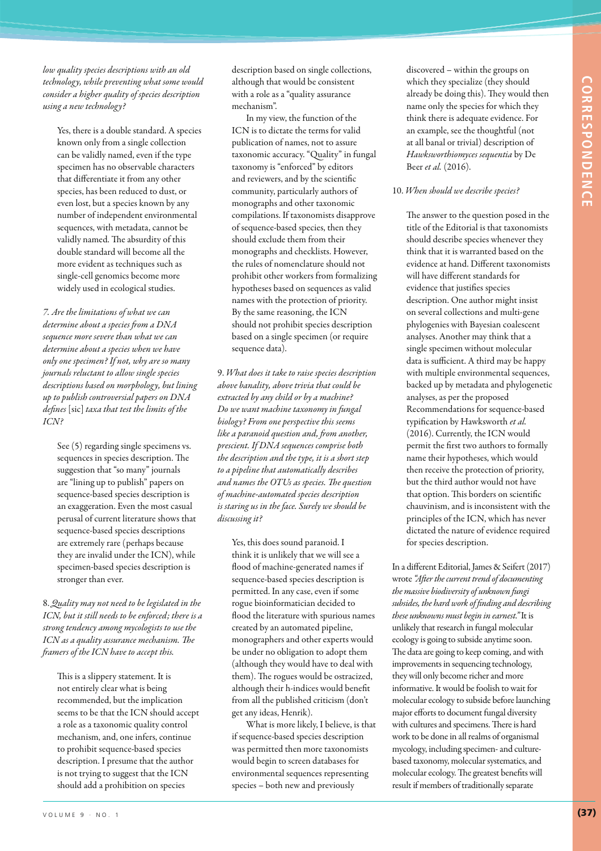*low quality species descriptions with an old technology, while preventing what some would consider a higher quality of species description using a new technology?*

Yes, there is a double standard. A species known only from a single collection can be validly named, even if the type specimen has no observable characters that differentiate it from any other species, has been reduced to dust, or even lost, but a species known by any number of independent environmental sequences, with metadata, cannot be validly named. The absurdity of this double standard will become all the more evident as techniques such as single-cell genomics become more widely used in ecological studies.

*7. Are the limitations of what we can determine about a species from a DNA sequence more severe than what we can determine about a species when we have only one specimen? If not, why are so many journals reluctant to allow single species descriptions based on morphology, but lining up to publish controversial papers on DNA defines* [sic] *taxa that test the limits of the ICN?*

See (5) regarding single specimens vs. sequences in species description. The suggestion that "so many" journals are "lining up to publish" papers on sequence-based species description is an exaggeration. Even the most casual perusal of current literature shows that sequence-based species descriptions are extremely rare (perhaps because they are invalid under the ICN), while specimen-based species description is stronger than ever.

8. *Quality may not need to be legislated in the ICN, but it still needs to be enforced; there is a strong tendency among mycologists to use the ICN as a quality assurance mechanism. The framers of the ICN have to accept this.*

This is a slippery statement. It is not entirely clear what is being recommended, but the implication seems to be that the ICN should accept a role as a taxonomic quality control mechanism, and, one infers, continue to prohibit sequence-based species description. I presume that the author is not trying to suggest that the ICN should add a prohibition on species

VOLUME 9 · NO. 1 **(37)**

description based on single collections, although that would be consistent with a role as a "quality assurance mechanism".

In my view, the function of the ICN is to dictate the terms for valid publication of names, not to assure taxonomic accuracy. "Quality" in fungal taxonomy is "enforced" by editors and reviewers, and by the scientific community, particularly authors of monographs and other taxonomic compilations. If taxonomists disapprove of sequence-based species, then they should exclude them from their monographs and checklists. However, the rules of nomenclature should not prohibit other workers from formalizing hypotheses based on sequences as valid names with the protection of priority. By the same reasoning, the ICN should not prohibit species description based on a single specimen (or require sequence data).

9. *What does it take to raise species description above banality, above trivia that could be extracted by any child or by a machine? Do we want machine taxonomy in fungal biology? From one perspective this seems like a paranoid question and, from another, prescient. If DNA sequences comprise both the description and the type, it is a short step to a pipeline that automatically describes and names the OTUs as species. The question of machine-automated species description is staring us in the face. Surely we should be discussing it?*

Yes, this does sound paranoid. I think it is unlikely that we will see a flood of machine-generated names if sequence-based species description is permitted. In any case, even if some rogue bioinformatician decided to flood the literature with spurious names created by an automated pipeline, monographers and other experts would be under no obligation to adopt them (although they would have to deal with them). The rogues would be ostracized, although their h-indices would benefit from all the published criticism (don't get any ideas, Henrik).

What is more likely, I believe, is that if sequence-based species description was permitted then more taxonomists would begin to screen databases for environmental sequences representing species – both new and previously

discovered – within the groups on which they specialize (they should already be doing this). They would then name only the species for which they think there is adequate evidence. For an example, see the thoughtful (not at all banal or trivial) description of *Hawksworthiomyces sequentia* by De Beer *et al.* (2016).

#### 10. *When should we describe species?*

The answer to the question posed in the title of the Editorial is that taxonomists should describe species whenever they think that it is warranted based on the evidence at hand. Different taxonomists will have different standards for evidence that justifies species description. One author might insist on several collections and multi-gene phylogenies with Bayesian coalescent analyses. Another may think that a single specimen without molecular data is sufficient. A third may be happy with multiple environmental sequences, backed up by metadata and phylogenetic analyses, as per the proposed Recommendations for sequence-based typification by Hawksworth *et al.* (2016). Currently, the ICN would permit the first two authors to formally name their hypotheses, which would then receive the protection of priority, but the third author would not have that option. This borders on scientific chauvinism, and is inconsistent with the principles of the ICN, which has never dictated the nature of evidence required for species description.

In a different Editorial, James & Seifert (2017) wrote *"After the current trend of documenting the massive biodiversity of unknown fungi subsides, the hard work of finding and describing these unknowns must begin in earnest."* It is unlikely that research in fungal molecular ecology is going to subside anytime soon. The data are going to keep coming, and with improvements in sequencing technology, they will only become richer and more informative. It would be foolish to wait for molecular ecology to subside before launching major efforts to document fungal diversity with cultures and specimens. There is hard work to be done in all realms of organismal mycology, including specimen- and culturebased taxonomy, molecular systematics, and molecular ecology. The greatest benefits will result if members of traditionally separate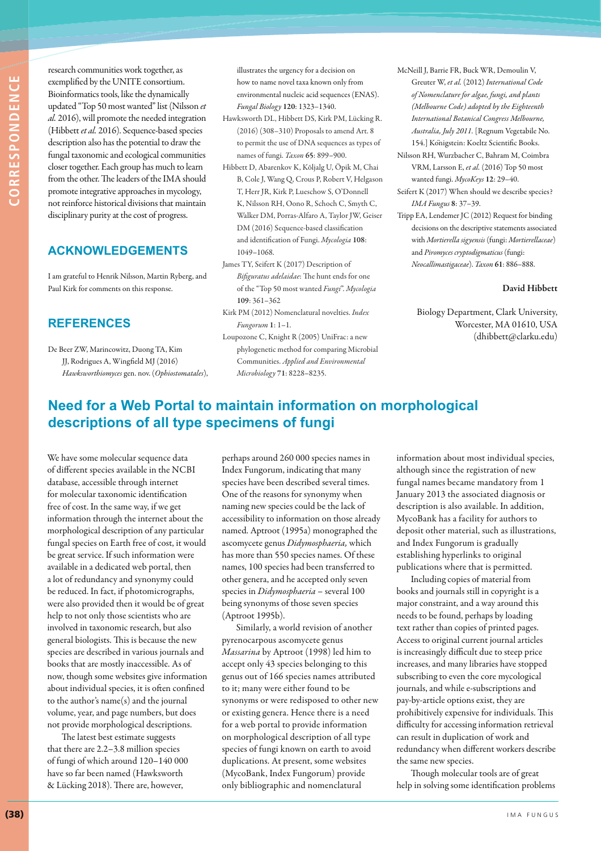research communities work together, as exemplified by the UNITE consortium. Bioinformatics tools, like the dynamically updated "Top 50 most wanted" list (Nilsson *et al.* 2016), will promote the needed integration (Hibbett *et al.* 2016). Sequence-based species description also has the potential to draw the fungal taxonomic and ecological communities closer together. Each group has much to learn from the other. The leaders of the IMA should promote integrative approaches in mycology, not reinforce historical divisions that maintain disciplinary purity at the cost of progress.

## **ACKNOWLEDGEMENTS**

I am grateful to Henrik Nilsson, Martin Ryberg, and Paul Kirk for comments on this response.

### **REFERENCES**

De Beer ZW, Marincowitz, Duong TA, Kim JJ, Rodrigues A, Wingfield MJ (2016) *Hawksworthiomyces* gen. nov. (*Ophiostomatales*), illustrates the urgency for a decision on how to name novel taxa known only from environmental nucleic acid sequences (ENAS). *Fungal Biology* **120**: 1323–1340.

- Hawksworth DL, Hibbett DS, Kirk PM, Lücking R. (2016) (308–310) Proposals to amend Art. 8 to permit the use of DNA sequences as types of names of fungi. *Taxon* **65**: 899–900.
- Hibbett D, Abarenkov K, Kõljalg U, Öpik M, Chai B, Cole J, Wang Q, Crous P, Robert V, Helgason T, Herr JR, Kirk P, Lueschow S, O'Donnell K, Nilsson RH, Oono R, Schoch C, Smyth C, Walker DM, Porras-Alfaro A, Taylor JW, Geiser DM (2016) Sequence-based classification and identification of Fungi. *Mycologia* **108**: 1049–1068.
- James TY, Seifert K (2017) Description of *Bifiguratus adelaidae*: The hunt ends for one of the "Top 50 most wanted *Fungi*". *Mycologia* **109**: 361–362
- Kirk PM (2012) Nomenclatural novelties. *Index Fungorum* **1**: 1–1.
- Loupozone C, Knight R (2005) UniFrac: a new phylogenetic method for comparing Microbial Communities. *Applied and Environmental Microbiology* **71**: 8228–8235.
- McNeill J, Barrie FR, Buck WR, Demoulin V, Greuter W, *et al.* (2012) *International Code of Nomenclature for algae, fungi, and plants (Melbourne Code) adopted by the Eighteenth International Botanical Congress Melbourne, Australia, July 2011.* [Regnum Vegetabile No. 154.] Königstein: Koeltz Scientific Books.
- Nilsson RH, Wurzbacher C, Bahram M, Coimbra VRM, Larsson E, *et al.* (2016) Top 50 most wanted fungi. *MycoKeys* **12**: 29–40.
- Seifert K (2017) When should we describe species? *IMA Fungus* **8**: 37–39.
- Tripp EA, Lendemer JC (2012) Request for binding decisions on the descriptive statements associated with *Mortierella sigyensis* (fungi: *Mortierellaceae*) and *Piromyces cryptodigmaticus* (fungi: *Neocallimastigaceae*). *Taxon* **61**: 886–888.

#### **David Hibbett**

Biology Department, Clark University, Worcester, MA 01610, USA (dhibbett@clarku.edu)

# **Need for a Web Portal to maintain information on morphological descriptions of all type specimens of fungi**

We have some molecular sequence data of different species available in the NCBI database, accessible through internet for molecular taxonomic identification free of cost. In the same way, if we get information through the internet about the morphological description of any particular fungal species on Earth free of cost, it would be great service. If such information were available in a dedicated web portal, then a lot of redundancy and synonymy could be reduced. In fact, if photomicrographs, were also provided then it would be of great help to not only those scientists who are involved in taxonomic research, but also general biologists. This is because the new species are described in various journals and books that are mostly inaccessible. As of now, though some websites give information about individual species, it is often confined to the author's name(s) and the journal volume, year, and page numbers, but does not provide morphological descriptions.

The latest best estimate suggests that there are 2.2–3.8 million species of fungi of which around 120–140 000 have so far been named (Hawksworth & Lücking 2018). There are, however,

perhaps around 260 000 species names in Index Fungorum, indicating that many species have been described several times. One of the reasons for synonymy when naming new species could be the lack of accessibility to information on those already named. Aptroot (1995a) monographed the ascomycete genus *Didymosphaeria,* which has more than 550 species names. Of these names, 100 species had been transferred to other genera, and he accepted only seven species in *Didymosphaeria* – several 100 being synonyms of those seven species (Aptroot 1995b).

Similarly, a world revision of another pyrenocarpous ascomycete genus *Massarina* by Aptroot (1998) led him to accept only 43 species belonging to this genus out of 166 species names attributed to it; many were either found to be synonyms or were redisposed to other new or existing genera. Hence there is a need for a web portal to provide information on morphological description of all type species of fungi known on earth to avoid duplications. At present, some websites (MycoBank, Index Fungorum) provide only bibliographic and nomenclatural

information about most individual species, although since the registration of new fungal names became mandatory from 1 January 2013 the associated diagnosis or description is also available. In addition, MycoBank has a facility for authors to deposit other material, such as illustrations, and Index Fungorum is gradually establishing hyperlinks to original publications where that is permitted.

Including copies of material from books and journals still in copyright is a major constraint, and a way around this needs to be found, perhaps by loading text rather than copies of printed pages. Access to original current journal articles is increasingly difficult due to steep price increases, and many libraries have stopped subscribing to even the core mycological journals, and while e-subscriptions and pay-by-article options exist, they are prohibitively expensive for individuals. This difficulty for accessing information retrieval can result in duplication of work and redundancy when different workers describe the same new species.

Though molecular tools are of great help in solving some identification problems